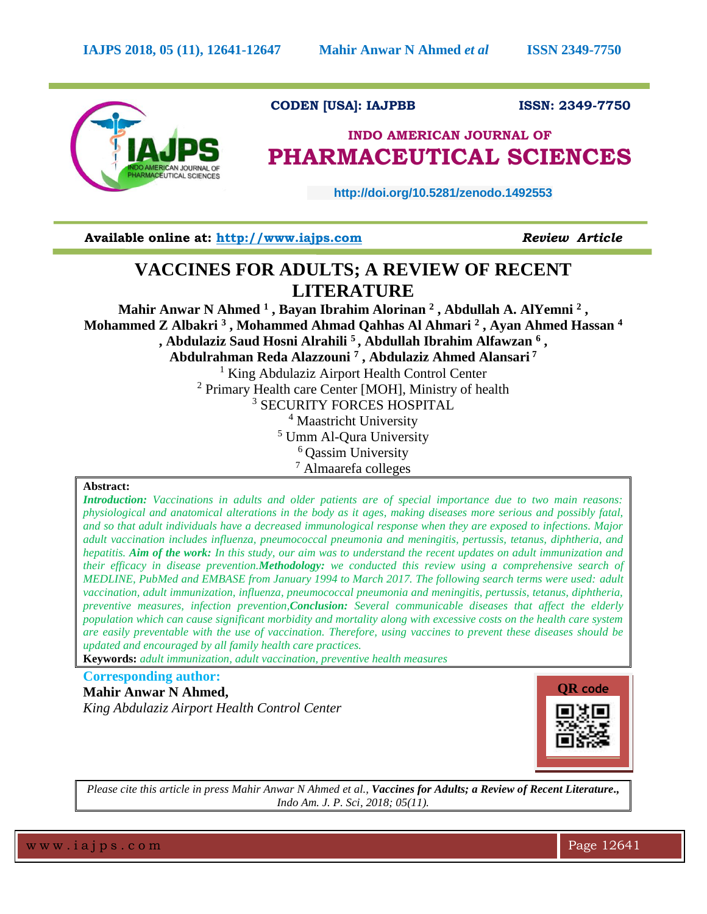

## **CODEN [USA]: IAJPBB ISSN: 2349-7750**

# **INDO AMERICAN JOURNAL OF PHARMACEUTICAL SCIENCES**

 **http://doi.org/10.5281/zenodo.1492553** 

**Available online at: [http://www.iajps.com](http://www.iajps.com/)** *Review Article*

# **VACCINES FOR ADULTS; A REVIEW OF RECENT LITERATURE**

**Mahir Anwar N Ahmed <sup>1</sup> , Bayan Ibrahim Alorinan <sup>2</sup> , Abdullah A. AlYemni <sup>2</sup> , Mohammed Z Albakri <sup>3</sup> , Mohammed Ahmad Qahhas Al Ahmari <sup>2</sup> , Ayan Ahmed Hassan <sup>4</sup> , Abdulaziz Saud Hosni Alrahili <sup>5</sup> , Abdullah Ibrahim Alfawzan <sup>6</sup> , Abdulrahman Reda Alazzouni <sup>7</sup> , Abdulaziz Ahmed Alansari <sup>7</sup>** <sup>1</sup> King Abdulaziz Airport Health Control Center <sup>2</sup> Primary Health care Center [MOH], Ministry of health <sup>3</sup> SECURITY FORCES HOSPITAL <sup>4</sup> Maastricht University <sup>5</sup> Umm Al-Qura University <sup>6</sup> Oassim University <sup>7</sup> Almaarefa colleges

## **Abstract:**

*Introduction: Vaccinations in adults and older patients are of special importance due to two main reasons: physiological and anatomical alterations in the body as it ages, making diseases more serious and possibly fatal, and so that adult individuals have a decreased immunological response when they are exposed to infections. Major adult vaccination includes influenza, pneumococcal pneumonia and meningitis, pertussis, tetanus, diphtheria, and hepatitis. Aim of the work: In this study, our aim was to understand the recent updates on adult immunization and their efficacy in disease prevention.Methodology: we conducted this review using a comprehensive search of MEDLINE, PubMed and EMBASE from January 1994 to March 2017. The following search terms were used: adult vaccination, adult immunization, influenza, pneumococcal pneumonia and meningitis, pertussis, tetanus, diphtheria, preventive measures, infection prevention,Conclusion: Several communicable diseases that affect the elderly population which can cause significant morbidity and mortality along with excessive costs on the health care system are easily preventable with the use of vaccination. Therefore, using vaccines to prevent these diseases should be updated and encouraged by all family health care practices.* 

**Keywords:** *adult immunization, adult vaccination, preventive health measures*

# **Corresponding author: Mahir Anwar N Ahmed,** *King Abdulaziz Airport Health Control Center*



*Please cite this article in press Mahir Anwar N Ahmed et al., Vaccines for Adults; a Review of Recent Literature., Indo Am. J. P. Sci, 2018; 05(11).*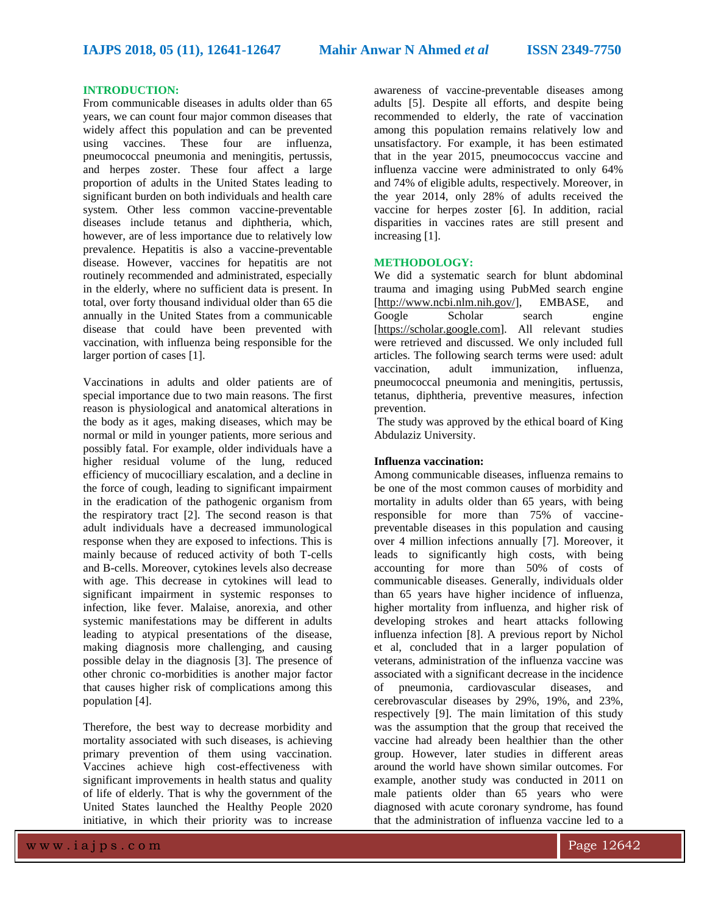### **INTRODUCTION:**

From communicable diseases in adults older than 65 years, we can count four major common diseases that widely affect this population and can be prevented using vaccines. These four are influenza, pneumococcal pneumonia and meningitis, pertussis, and herpes zoster. These four affect a large proportion of adults in the United States leading to significant burden on both individuals and health care system. Other less common vaccine-preventable diseases include tetanus and diphtheria, which, however, are of less importance due to relatively low prevalence. Hepatitis is also a vaccine-preventable disease. However, vaccines for hepatitis are not routinely recommended and administrated, especially in the elderly, where no sufficient data is present. In total, over forty thousand individual older than 65 die annually in the United States from a communicable disease that could have been prevented with vaccination, with influenza being responsible for the larger portion of cases [1].

Vaccinations in adults and older patients are of special importance due to two main reasons. The first reason is physiological and anatomical alterations in the body as it ages, making diseases, which may be normal or mild in younger patients, more serious and possibly fatal. For example, older individuals have a higher residual volume of the lung, reduced efficiency of mucocilliary escalation, and a decline in the force of cough, leading to significant impairment in the eradication of the pathogenic organism from the respiratory tract [2]. The second reason is that adult individuals have a decreased immunological response when they are exposed to infections. This is mainly because of reduced activity of both T-cells and B-cells. Moreover, cytokines levels also decrease with age. This decrease in cytokines will lead to significant impairment in systemic responses to infection, like fever. Malaise, anorexia, and other systemic manifestations may be different in adults leading to atypical presentations of the disease, making diagnosis more challenging, and causing possible delay in the diagnosis [3]. The presence of other chronic co-morbidities is another major factor that causes higher risk of complications among this population [4].

Therefore, the best way to decrease morbidity and mortality associated with such diseases, is achieving primary prevention of them using vaccination. Vaccines achieve high cost-effectiveness with significant improvements in health status and quality of life of elderly. That is why the government of the United States launched the Healthy People 2020 initiative, in which their priority was to increase

awareness of vaccine-preventable diseases among adults [5]. Despite all efforts, and despite being recommended to elderly, the rate of vaccination among this population remains relatively low and unsatisfactory. For example, it has been estimated that in the year 2015, pneumococcus vaccine and influenza vaccine were administrated to only 64% and 74% of eligible adults, respectively. Moreover, in the year 2014, only 28% of adults received the vaccine for herpes zoster [6]. In addition, racial disparities in vaccines rates are still present and increasing [1].

#### **METHODOLOGY:**

We did a systematic search for blunt abdominal trauma and imaging using PubMed search engine [\[http://www.ncbi.nlm.nih.gov/\]](http://www.ncbi.nlm.nih.gov/), EMBASE, and Google Scholar search engine [\[https://scholar.google.com\]](https://scholar.google.com/). All relevant studies were retrieved and discussed. We only included full articles. The following search terms were used: adult vaccination, adult immunization, influenza, pneumococcal pneumonia and meningitis, pertussis, tetanus, diphtheria, preventive measures, infection prevention.

The study was approved by the ethical board of King Abdulaziz University.

### **Influenza vaccination:**

Among communicable diseases, influenza remains to be one of the most common causes of morbidity and mortality in adults older than 65 years, with being responsible for more than 75% of vaccinepreventable diseases in this population and causing over 4 million infections annually [7]. Moreover, it leads to significantly high costs, with being accounting for more than 50% of costs of communicable diseases. Generally, individuals older than 65 years have higher incidence of influenza, higher mortality from influenza, and higher risk of developing strokes and heart attacks following influenza infection [8]. A previous report by Nichol et al, concluded that in a larger population of veterans, administration of the influenza vaccine was associated with a significant decrease in the incidence of pneumonia, cardiovascular diseases, and cerebrovascular diseases by 29%, 19%, and 23%, respectively [9]. The main limitation of this study was the assumption that the group that received the vaccine had already been healthier than the other group. However, later studies in different areas around the world have shown similar outcomes. For example, another study was conducted in 2011 on male patients older than 65 years who were diagnosed with acute coronary syndrome, has found that the administration of influenza vaccine led to a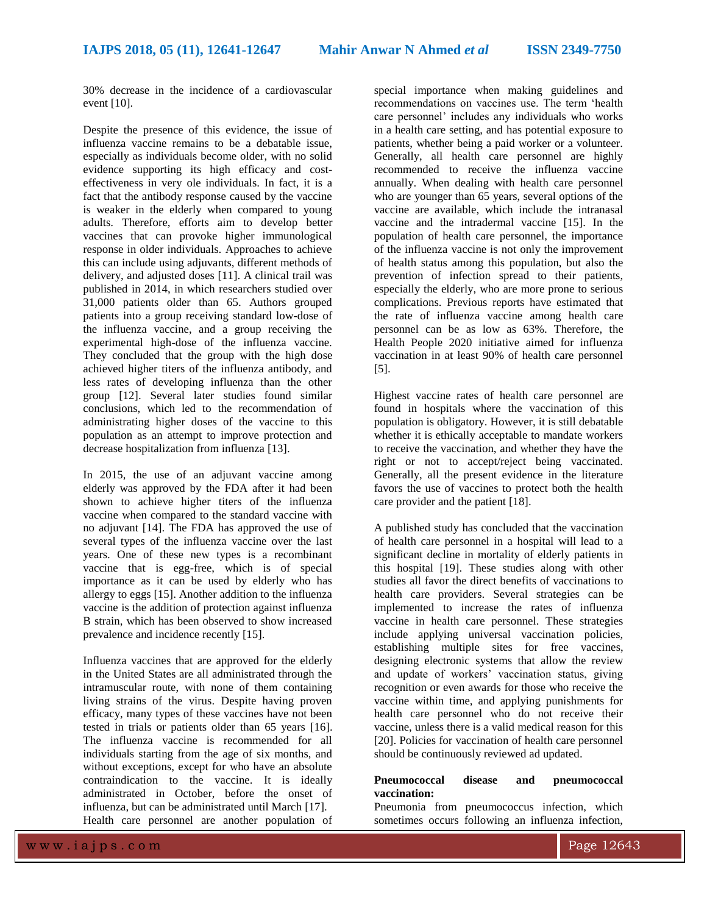30% decrease in the incidence of a cardiovascular event [10].

Despite the presence of this evidence, the issue of influenza vaccine remains to be a debatable issue, especially as individuals become older, with no solid evidence supporting its high efficacy and costeffectiveness in very ole individuals. In fact, it is a fact that the antibody response caused by the vaccine is weaker in the elderly when compared to young adults. Therefore, efforts aim to develop better vaccines that can provoke higher immunological response in older individuals. Approaches to achieve this can include using adjuvants, different methods of delivery, and adjusted doses [11]. A clinical trail was published in 2014, in which researchers studied over 31,000 patients older than 65. Authors grouped patients into a group receiving standard low-dose of the influenza vaccine, and a group receiving the experimental high-dose of the influenza vaccine. They concluded that the group with the high dose achieved higher titers of the influenza antibody, and less rates of developing influenza than the other group [12]. Several later studies found similar conclusions, which led to the recommendation of administrating higher doses of the vaccine to this population as an attempt to improve protection and decrease hospitalization from influenza [13].

In 2015, the use of an adjuvant vaccine among elderly was approved by the FDA after it had been shown to achieve higher titers of the influenza vaccine when compared to the standard vaccine with no adjuvant [14]. The FDA has approved the use of several types of the influenza vaccine over the last years. One of these new types is a recombinant vaccine that is egg-free, which is of special importance as it can be used by elderly who has allergy to eggs [15]. Another addition to the influenza vaccine is the addition of protection against influenza B strain, which has been observed to show increased prevalence and incidence recently [15].

Influenza vaccines that are approved for the elderly in the United States are all administrated through the intramuscular route, with none of them containing living strains of the virus. Despite having proven efficacy, many types of these vaccines have not been tested in trials or patients older than 65 years [16]. The influenza vaccine is recommended for all individuals starting from the age of six months, and without exceptions, except for who have an absolute contraindication to the vaccine. It is ideally administrated in October, before the onset of influenza, but can be administrated until March [17]. Health care personnel are another population of

special importance when making guidelines and recommendations on vaccines use. The term 'health care personnel' includes any individuals who works in a health care setting, and has potential exposure to patients, whether being a paid worker or a volunteer. Generally, all health care personnel are highly recommended to receive the influenza vaccine annually. When dealing with health care personnel who are younger than 65 years, several options of the vaccine are available, which include the intranasal vaccine and the intradermal vaccine [15]. In the population of health care personnel, the importance of the influenza vaccine is not only the improvement of health status among this population, but also the prevention of infection spread to their patients, especially the elderly, who are more prone to serious complications. Previous reports have estimated that the rate of influenza vaccine among health care personnel can be as low as 63%. Therefore, the Health People 2020 initiative aimed for influenza vaccination in at least 90% of health care personnel [5].

Highest vaccine rates of health care personnel are found in hospitals where the vaccination of this population is obligatory. However, it is still debatable whether it is ethically acceptable to mandate workers to receive the vaccination, and whether they have the right or not to accept/reject being vaccinated. Generally, all the present evidence in the literature favors the use of vaccines to protect both the health care provider and the patient [18].

A published study has concluded that the vaccination of health care personnel in a hospital will lead to a significant decline in mortality of elderly patients in this hospital [19]. These studies along with other studies all favor the direct benefits of vaccinations to health care providers. Several strategies can be implemented to increase the rates of influenza vaccine in health care personnel. These strategies include applying universal vaccination policies, establishing multiple sites for free vaccines, designing electronic systems that allow the review and update of workers' vaccination status, giving recognition or even awards for those who receive the vaccine within time, and applying punishments for health care personnel who do not receive their vaccine, unless there is a valid medical reason for this [20]. Policies for vaccination of health care personnel should be continuously reviewed ad updated.

### **Pneumococcal disease and pneumococcal vaccination:**

Pneumonia from pneumococcus infection, which sometimes occurs following an influenza infection,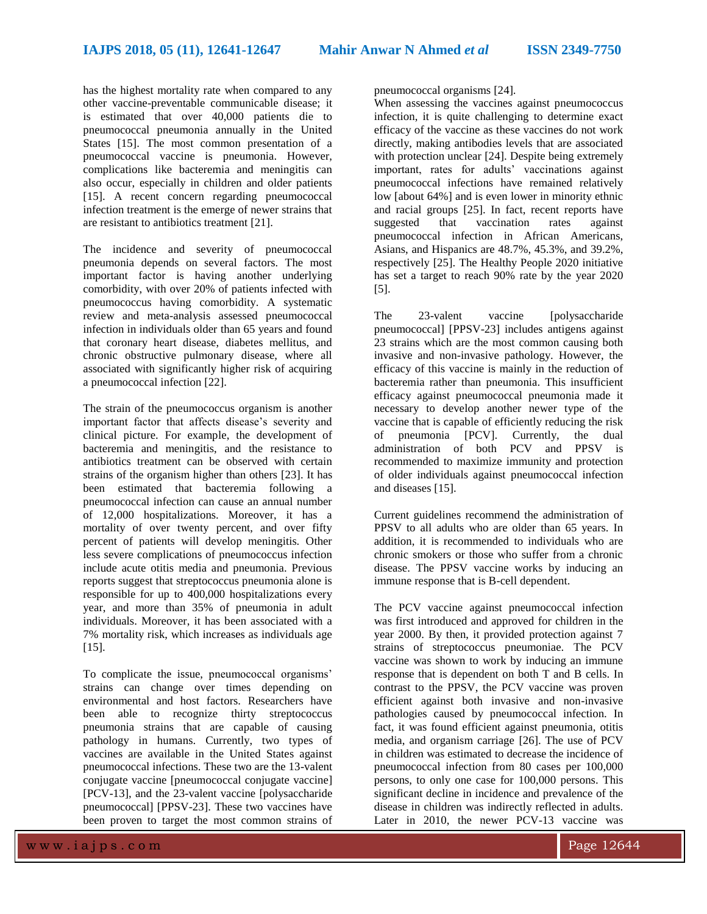has the highest mortality rate when compared to any other vaccine-preventable communicable disease; it is estimated that over 40,000 patients die to pneumococcal pneumonia annually in the United States [15]. The most common presentation of a pneumococcal vaccine is pneumonia. However, complications like bacteremia and meningitis can also occur, especially in children and older patients [15]. A recent concern regarding pneumococcal infection treatment is the emerge of newer strains that are resistant to antibiotics treatment [21].

The incidence and severity of pneumococcal pneumonia depends on several factors. The most important factor is having another underlying comorbidity, with over 20% of patients infected with pneumococcus having comorbidity. A systematic review and meta-analysis assessed pneumococcal infection in individuals older than 65 years and found that coronary heart disease, diabetes mellitus, and chronic obstructive pulmonary disease, where all associated with significantly higher risk of acquiring a pneumococcal infection [22].

The strain of the pneumococcus organism is another important factor that affects disease's severity and clinical picture. For example, the development of bacteremia and meningitis, and the resistance to antibiotics treatment can be observed with certain strains of the organism higher than others [23]. It has been estimated that bacteremia following a pneumococcal infection can cause an annual number of 12,000 hospitalizations. Moreover, it has a mortality of over twenty percent, and over fifty percent of patients will develop meningitis. Other less severe complications of pneumococcus infection include acute otitis media and pneumonia. Previous reports suggest that streptococcus pneumonia alone is responsible for up to 400,000 hospitalizations every year, and more than 35% of pneumonia in adult individuals. Moreover, it has been associated with a 7% mortality risk, which increases as individuals age [15].

To complicate the issue, pneumococcal organisms' strains can change over times depending on environmental and host factors. Researchers have been able to recognize thirty streptococcus pneumonia strains that are capable of causing pathology in humans. Currently, two types of vaccines are available in the United States against pneumococcal infections. These two are the 13-valent conjugate vaccine [pneumococcal conjugate vaccine] [PCV-13], and the 23-valent vaccine [polysaccharide pneumococcal] [PPSV-23]. These two vaccines have been proven to target the most common strains of

pneumococcal organisms [24].

When assessing the vaccines against pneumococcus infection, it is quite challenging to determine exact efficacy of the vaccine as these vaccines do not work directly, making antibodies levels that are associated with protection unclear [24]. Despite being extremely important, rates for adults' vaccinations against pneumococcal infections have remained relatively low [about 64%] and is even lower in minority ethnic and racial groups [25]. In fact, recent reports have suggested that vaccination rates against pneumococcal infection in African Americans, Asians, and Hispanics are 48.7%, 45.3%, and 39.2%, respectively [25]. The Healthy People 2020 initiative has set a target to reach 90% rate by the year 2020 [5].

The 23-valent vaccine [polysaccharide pneumococcal] [PPSV-23] includes antigens against 23 strains which are the most common causing both invasive and non-invasive pathology. However, the efficacy of this vaccine is mainly in the reduction of bacteremia rather than pneumonia. This insufficient efficacy against pneumococcal pneumonia made it necessary to develop another newer type of the vaccine that is capable of efficiently reducing the risk of pneumonia [PCV]. Currently, the dual administration of both PCV and PPSV is recommended to maximize immunity and protection of older individuals against pneumococcal infection and diseases [15].

Current guidelines recommend the administration of PPSV to all adults who are older than 65 years. In addition, it is recommended to individuals who are chronic smokers or those who suffer from a chronic disease. The PPSV vaccine works by inducing an immune response that is B-cell dependent.

The PCV vaccine against pneumococcal infection was first introduced and approved for children in the year 2000. By then, it provided protection against 7 strains of streptococcus pneumoniae. The PCV vaccine was shown to work by inducing an immune response that is dependent on both T and B cells. In contrast to the PPSV, the PCV vaccine was proven efficient against both invasive and non-invasive pathologies caused by pneumococcal infection. In fact, it was found efficient against pneumonia, otitis media, and organism carriage [26]. The use of PCV in children was estimated to decrease the incidence of pneumococcal infection from 80 cases per 100,000 persons, to only one case for 100,000 persons. This significant decline in incidence and prevalence of the disease in children was indirectly reflected in adults. Later in 2010, the newer PCV-13 vaccine was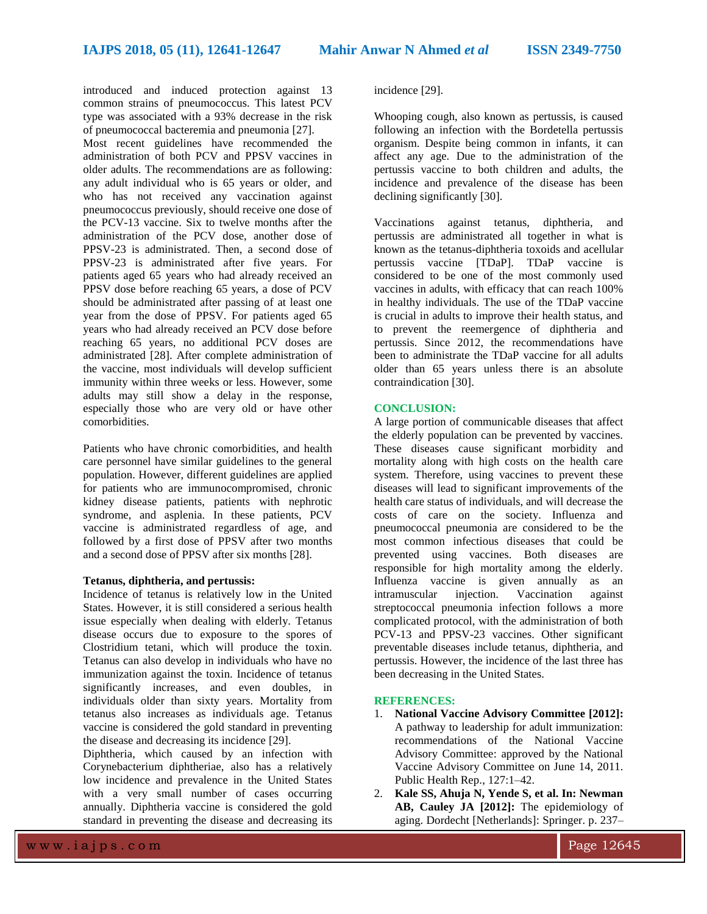introduced and induced protection against 13 common strains of pneumococcus. This latest PCV type was associated with a 93% decrease in the risk of pneumococcal bacteremia and pneumonia [27].

Most recent guidelines have recommended the administration of both PCV and PPSV vaccines in older adults. The recommendations are as following: any adult individual who is 65 years or older, and who has not received any vaccination against pneumococcus previously, should receive one dose of the PCV-13 vaccine. Six to twelve months after the administration of the PCV dose, another dose of PPSV-23 is administrated. Then, a second dose of PPSV-23 is administrated after five years. For patients aged 65 years who had already received an PPSV dose before reaching 65 years, a dose of PCV should be administrated after passing of at least one year from the dose of PPSV. For patients aged 65 years who had already received an PCV dose before reaching 65 years, no additional PCV doses are administrated [28]. After complete administration of the vaccine, most individuals will develop sufficient immunity within three weeks or less. However, some adults may still show a delay in the response, especially those who are very old or have other comorbidities.

Patients who have chronic comorbidities, and health care personnel have similar guidelines to the general population. However, different guidelines are applied for patients who are immunocompromised, chronic kidney disease patients, patients with nephrotic syndrome, and asplenia. In these patients, PCV vaccine is administrated regardless of age, and followed by a first dose of PPSV after two months and a second dose of PPSV after six months [28].

#### **Tetanus, diphtheria, and pertussis:**

Incidence of tetanus is relatively low in the United States. However, it is still considered a serious health issue especially when dealing with elderly. Tetanus disease occurs due to exposure to the spores of Clostridium tetani, which will produce the toxin. Tetanus can also develop in individuals who have no immunization against the toxin. Incidence of tetanus significantly increases, and even doubles, in individuals older than sixty years. Mortality from tetanus also increases as individuals age. Tetanus vaccine is considered the gold standard in preventing the disease and decreasing its incidence [29].

Diphtheria, which caused by an infection with Corynebacterium diphtheriae, also has a relatively low incidence and prevalence in the United States with a very small number of cases occurring annually. Diphtheria vaccine is considered the gold standard in preventing the disease and decreasing its

#### incidence [29].

Whooping cough, also known as pertussis, is caused following an infection with the Bordetella pertussis organism. Despite being common in infants, it can affect any age. Due to the administration of the pertussis vaccine to both children and adults, the incidence and prevalence of the disease has been declining significantly [30].

Vaccinations against tetanus, diphtheria, and pertussis are administrated all together in what is known as the tetanus-diphtheria toxoids and acellular pertussis vaccine [TDaP]. TDaP vaccine is considered to be one of the most commonly used vaccines in adults, with efficacy that can reach 100% in healthy individuals. The use of the TDaP vaccine is crucial in adults to improve their health status, and to prevent the reemergence of diphtheria and pertussis. Since 2012, the recommendations have been to administrate the TDaP vaccine for all adults older than 65 years unless there is an absolute contraindication [30].

### **CONCLUSION:**

A large portion of communicable diseases that affect the elderly population can be prevented by vaccines. These diseases cause significant morbidity and mortality along with high costs on the health care system. Therefore, using vaccines to prevent these diseases will lead to significant improvements of the health care status of individuals, and will decrease the costs of care on the society. Influenza and pneumococcal pneumonia are considered to be the most common infectious diseases that could be prevented using vaccines. Both diseases are responsible for high mortality among the elderly. Influenza vaccine is given annually as an intramuscular injection. Vaccination against streptococcal pneumonia infection follows a more complicated protocol, with the administration of both PCV-13 and PPSV-23 vaccines. Other significant preventable diseases include tetanus, diphtheria, and pertussis. However, the incidence of the last three has been decreasing in the United States.

#### **REFERENCES:**

- 1. **National Vaccine Advisory Committee [2012]:** A pathway to leadership for adult immunization: recommendations of the National Vaccine Advisory Committee: approved by the National Vaccine Advisory Committee on June 14, 2011. Public Health Rep., 127:1–42.
- 2. **Kale SS, Ahuja N, Yende S, et al. In: Newman AB, Cauley JA [2012]:** The epidemiology of aging. Dordecht [Netherlands]: Springer. p. 237–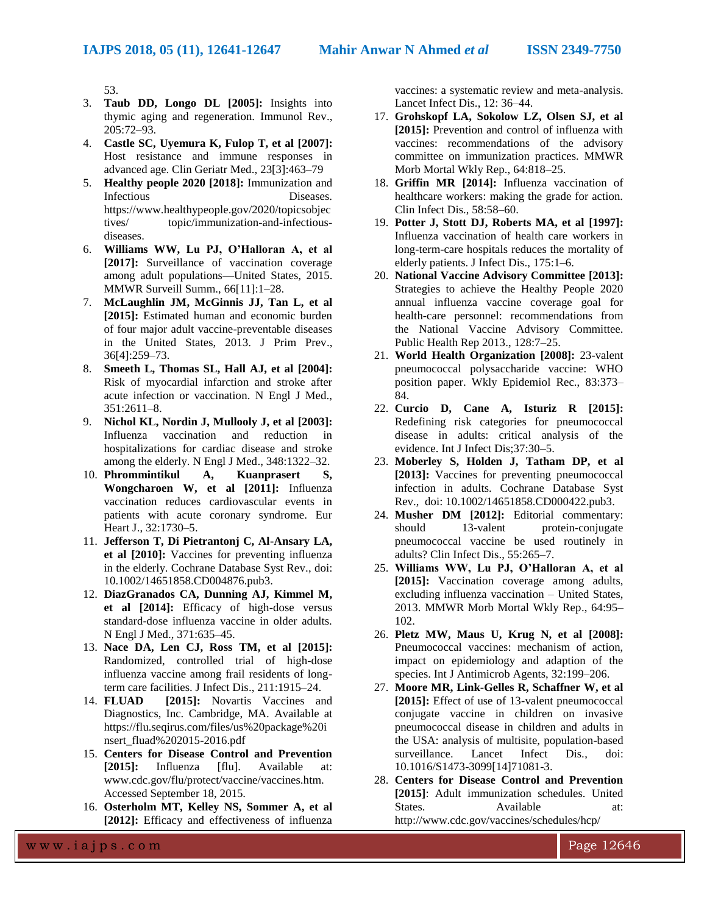53.

- 3. **Taub DD, Longo DL [2005]:** Insights into thymic aging and regeneration. Immunol Rev., 205:72–93.
- 4. **Castle SC, Uyemura K, Fulop T, et al [2007]:** Host resistance and immune responses in advanced age. Clin Geriatr Med., 23[3]:463–79
- 5. **Healthy people 2020 [2018]:** Immunization and Infectious Diseases. https://www.healthypeople.gov/2020/topicsobjec tives/ topic/immunization-and-infectiousdiseases.
- 6. **Williams WW, Lu PJ, O'Halloran A, et al [2017]:** Surveillance of vaccination coverage among adult populations—United States, 2015. MMWR Surveill Summ., 66[11]:1–28.
- 7. **McLaughlin JM, McGinnis JJ, Tan L, et al [2015]:** Estimated human and economic burden of four major adult vaccine-preventable diseases in the United States, 2013. J Prim Prev., 36[4]:259–73.
- 8. **Smeeth L, Thomas SL, Hall AJ, et al [2004]:** Risk of myocardial infarction and stroke after acute infection or vaccination. N Engl J Med., 351:2611–8.
- 9. **Nichol KL, Nordin J, Mullooly J, et al [2003]:** Influenza vaccination and reduction in hospitalizations for cardiac disease and stroke among the elderly. N Engl J Med., 348:1322–32.
- 10. **Phrommintikul A, Kuanprasert S, Wongcharoen W, et al [2011]:** Influenza vaccination reduces cardiovascular events in patients with acute coronary syndrome. Eur Heart J., 32:1730–5.
- 11. **Jefferson T, Di Pietrantonj C, Al-Ansary LA, et al [2010]:** Vaccines for preventing influenza in the elderly. Cochrane Database Syst Rev., doi: 10.1002/14651858.CD004876.pub3.
- 12. **DiazGranados CA, Dunning AJ, Kimmel M, et al [2014]:** Efficacy of high-dose versus standard-dose influenza vaccine in older adults. N Engl J Med., 371:635–45.
- 13. **Nace DA, Len CJ, Ross TM, et al [2015]:** Randomized, controlled trial of high-dose influenza vaccine among frail residents of longterm care facilities. J Infect Dis., 211:1915–24.
- 14. **FLUAD [2015]:** Novartis Vaccines and Diagnostics, Inc. Cambridge, MA. Available at https://flu.seqirus.com/files/us%20package%20i nsert\_fluad%202015-2016.pdf
- 15. **Centers for Disease Control and Prevention [2015]:** Influenza [flu]. Available at: www.cdc.gov/flu/protect/vaccine/vaccines.htm. Accessed September 18, 2015.
- 16. **Osterholm MT, Kelley NS, Sommer A, et al [2012]:** Efficacy and effectiveness of influenza

vaccines: a systematic review and meta-analysis. Lancet Infect Dis., 12: 36–44.

- 17. **Grohskopf LA, Sokolow LZ, Olsen SJ, et al [2015]:** Prevention and control of influenza with vaccines: recommendations of the advisory committee on immunization practices. MMWR Morb Mortal Wkly Rep., 64:818–25.
- 18. **Griffin MR [2014]:** Influenza vaccination of healthcare workers: making the grade for action. Clin Infect Dis., 58:58–60.
- 19. **Potter J, Stott DJ, Roberts MA, et al [1997]:** Influenza vaccination of health care workers in long-term-care hospitals reduces the mortality of elderly patients. J Infect Dis., 175:1–6.
- 20. **National Vaccine Advisory Committee [2013]:** Strategies to achieve the Healthy People 2020 annual influenza vaccine coverage goal for health-care personnel: recommendations from the National Vaccine Advisory Committee. Public Health Rep 2013., 128:7–25.
- 21. **World Health Organization [2008]:** 23-valent pneumococcal polysaccharide vaccine: WHO position paper. Wkly Epidemiol Rec., 83:373– 84.
- 22. **Curcio D, Cane A, Isturiz R [2015]:** Redefining risk categories for pneumococcal disease in adults: critical analysis of the evidence. Int J Infect Dis;37:30–5.
- 23. **Moberley S, Holden J, Tatham DP, et al [2013]:** Vaccines for preventing pneumococcal infection in adults. Cochrane Database Syst Rev., doi: 10.1002/14651858.CD000422.pub3.
- 24. **Musher DM [2012]:** Editorial commentary: should 13-valent protein-conjugate pneumococcal vaccine be used routinely in adults? Clin Infect Dis., 55:265–7.
- 25. **Williams WW, Lu PJ, O'Halloran A, et al [2015]:** Vaccination coverage among adults, excluding influenza vaccination – United States, 2013. MMWR Morb Mortal Wkly Rep., 64:95– 102.
- 26. **Pletz MW, Maus U, Krug N, et al [2008]:** Pneumococcal vaccines: mechanism of action, impact on epidemiology and adaption of the species. Int J Antimicrob Agents, 32:199–206.
- 27. **Moore MR, Link-Gelles R, Schaffner W, et al [2015]:** Effect of use of 13-valent pneumococcal conjugate vaccine in children on invasive pneumococcal disease in children and adults in the USA: analysis of multisite, population-based surveillance. Lancet Infect Dis., doi: 10.1016/S1473-3099[14]71081-3.
- 28. **Centers for Disease Control and Prevention [2015]**: Adult immunization schedules. United States. Available at: http://www.cdc.gov/vaccines/schedules/hcp/